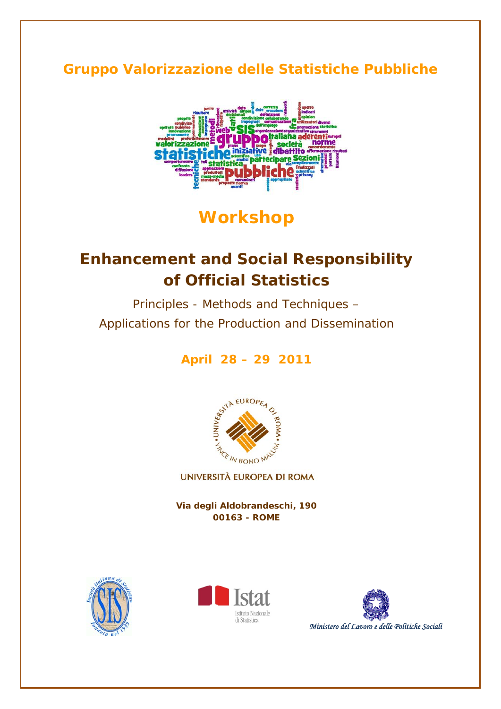## **Gruppo Valorizzazione delle Statistiche Pubbliche**



# **Workshop**

# **Enhancement and Social Responsibility of Official Statistics**

*Principles - Methods and Techniques – Applications for the Production and Dissemination*

**April 28 – 29 2011** 



UNIVERSITÀ EUROPEA DI ROMA

**Via degli Aldobrandeschi, 190 00163 - ROME**





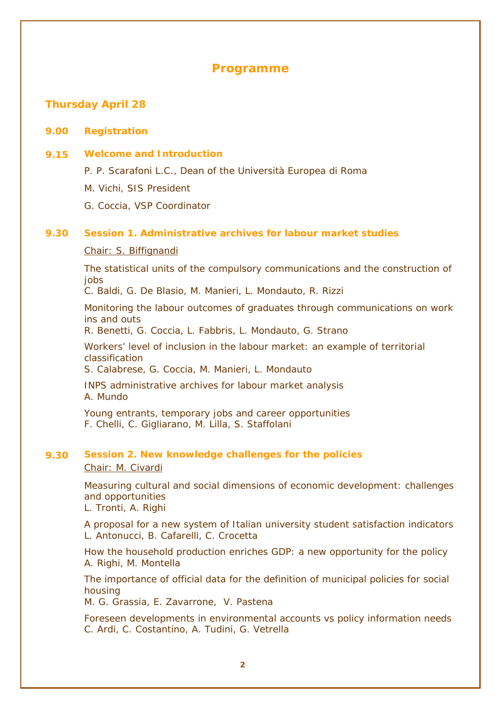## *Programme*

## **Thursday April 28**

#### **9.00 Registration**

## **9.15 Welcome and Introduction**

P. P. Scarafoni L.C*., Dean of the Università Europea di Roma* 

- M. Vichi*, SIS President*
- G. Coccia*, VSP Coordinator*

## **9.30 Session 1.** *Administrative archives for labour market studies*

#### *Chair: S. Biffignandi*

*The statistical units of the compulsory communications and the construction of jobs* 

C. Baldi, G. De Blasio, M. Manieri, L. Mondauto, R. Rizzi

*Monitoring the labour outcomes of graduates through communications on work ins and outs* 

R. Benetti, G. Coccia, L. Fabbris, L. Mondauto, G. Strano

*Workers' level of inclusion in the labour market: an example of territorial classification* 

S. Calabrese, G. Coccia, M. Manieri, L. Mondauto

*INPS administrative archives for labour market analysis*  A. Mundo

*Young entrants, temporary jobs and career opportunities*  F. Chelli, C. Gigliarano, M. Lilla, S. Staffolani

#### **9.30 Session 2.** *New knowledge challenges for the policies Chair: M. Civardi*

*Measuring cultural and social dimensions of economic development: challenges and opportunities* 

L. Tronti, A. Righi

*A proposal for a new system of Italian university student satisfaction indicators*  L. Antonucci, B. Cafarelli, C. Crocetta

*How the household production enriches GDP: a new opportunity for the policy*  A. Righi, M. Montella

*The importance of official data for the definition of municipal policies for social housing* 

M. G. Grassia, E. Zavarrone, V. Pastena

*Foreseen developments in environmental accounts vs policy information needs*  C. Ardi, C. Costantino, A. Tudini, G. Vetrella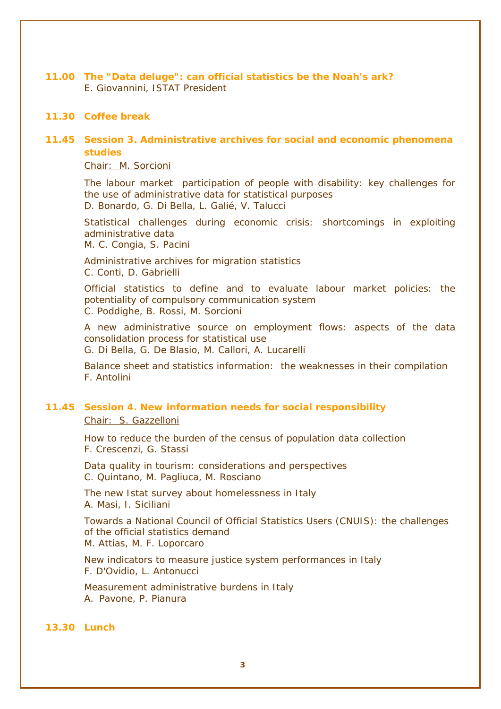**11.00** *The "Data deluge": can official statistics be the Noah's ark?*  E. Giovannini, *ISTAT President*

## **11.30 Coffee break**

## **11.45 Session 3.** *Administrative archives for social and economic phenomena studies*

*Chair: M. Sorcioni*

*The labour market participation of people with disability: key challenges for the use of administrative data for statistical purposes*  D. Bonardo, G. Di Bella, L. Galié, V. Talucci

Statistical challenges during economic crisis: shortcomings in exploiting *administrative data*  M. C. Congia, S. Pacini

*Administrative archives for migration statistics*  C. Conti, D. Gabrielli

*Official statistics to define and to evaluate labour market policies: the potentiality of compulsory communication system*  C. Poddighe, B. Rossi, M. Sorcioni

*A new administrative source on employment flows: aspects of the data consolidation process for statistical use* 

G. Di Bella, G. De Blasio, M. Callori, A. Lucarelli

*Balance sheet and statistics information: the weaknesses in their compilation*  F. Antolini

## **11.45 Session 4.** *New information needs for social responsibility Chair: S. Gazzelloni*

*How to reduce the burden of the census of population data collection*  F. Crescenzi, G. Stassi

*Data quality in tourism: considerations and perspectives*  C. Quintano, M. Pagliuca, M. Rosciano

*The new Istat survey about homelessness in Italy*  A. Masi, I. Siciliani

*Towards a National Council of Official Statistics Users (CNUIS): the challenges of the official statistics demand*  M. Attias, M. F. Loporcaro

*New indicators to measure justice system performances in Italy*  F. D'Ovidio, L. Antonucci

*Measurement administrative burdens in Italy*  A. Pavone, P. Pianura

#### **13.30 Lunch**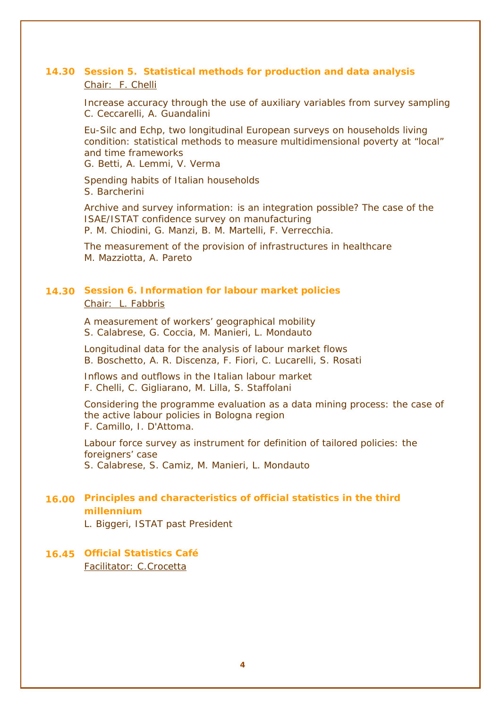## **14.30 Session 5.** *Statistical methods for production and data analysis Chair: F. Chelli*

*Increase accuracy through the use of auxiliary variables from survey sampling* C. Ceccarelli, A. Guandalini

*Eu-Silc and Echp, two longitudinal European surveys on households living condition: statistical methods to measure multidimensional poverty at "local" and time frameworks* 

G. Betti, A. Lemmi, V. Verma

*Spending habits of Italian households*  S. Barcherini

*Archive and survey information: is an integration possible? The case of the ISAE/ISTAT confidence survey on manufacturing*  P. M. Chiodini, G. Manzi, B. M. Martelli, F. Verrecchia.

*The measurement of the provision of infrastructures in healthcare*  M. Mazziotta, A. Pareto

## **14.30 Session 6.** *Information for labour market policies Chair: L. Fabbris*

*A measurement of workers' geographical mobility*  S. Calabrese, G. Coccia, M. Manieri, L. Mondauto

*Longitudinal data for the analysis of labour market flows*  B. Boschetto, A. R. Discenza, F. Fiori, C. Lucarelli, S. Rosati

*Inflows and outflows in the Italian labour market*  F. Chelli, C. Gigliarano, M. Lilla, S. Staffolani

*Considering the programme evaluation as a data mining process: the case of the active labour policies in Bologna region*  F. Camillo, I. D'Attoma.

Labour force survey as instrument for definition of tailored policies: the *foreigners' case*  S. Calabrese, S. Camiz, M. Manieri, L. Mondauto

## **16.00** *Principles and characteristics of official statistics in the third millennium*

L. Biggeri, *ISTAT past President* 

**16.45 Official Statistics Café**  *Facilitator: C.Crocetta*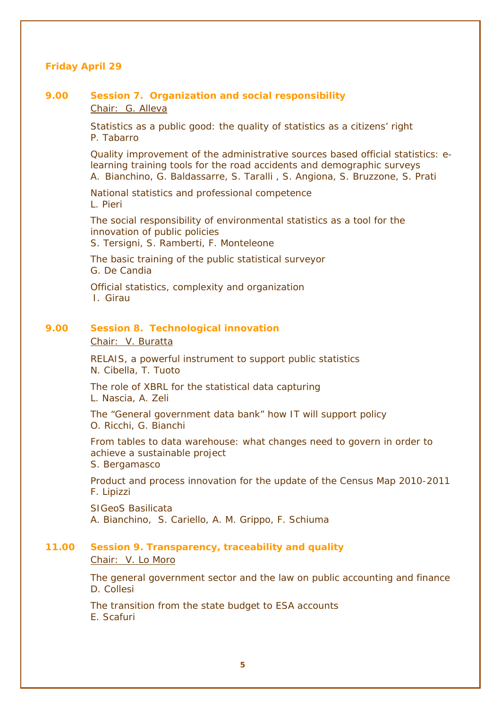## **Friday April 29**

## *9.00* **Session 7.** *Organization and social responsibility Chair: G. Alleva*

*Statistics as a public good: the quality of statistics as a citizens' right*  P. Tabarro

*Quality improvement of the administrative sources based official statistics: elearning training tools for the road accidents and demographic surveys*  A. Bianchino, G. Baldassarre, S. Taralli , S. Angiona, S. Bruzzone, S. Prati

*National statistics and professional competence*  L. Pieri

*The social responsibility of environmental statistics as a tool for the innovation of public policies*  S. Tersigni, S. Ramberti, F. Monteleone

*The basic training of the public statistical surveyor*  G. De Candia

*Official statistics, complexity and organization*  I. Girau

#### *9.00* **Session 8.** *Technological innovation*

*Chair: V. Buratta*

*RELAIS, a powerful instrument to support public statistics*  N. Cibella, T. Tuoto

*The role of XBRL for the statistical data capturing*  L. Nascia, A. Zeli

*The "General government data bank" how IT will support policy*  O. Ricchi, G. Bianchi

*From tables to data warehouse: what changes need to govern in order to achieve a sustainable project*  S. Bergamasco

*Product and process innovation for the update of the Census Map 2010-2011*  F. Lipizzi

*SIGeoS Basilicata*  A. Bianchino, S. Cariello, A. M. Grippo, F. Schiuma

## **11.00 Session 9.** *Transparency, traceability and quality Chair: V. Lo Moro*

*The general government sector and the law on public accounting and finance*  D. Collesi

*The transition from the state budget to ESA accounts*  E. Scafuri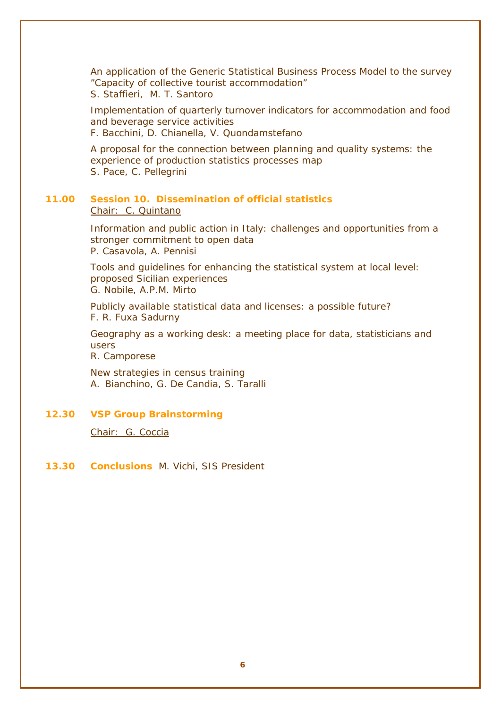*An application of the Generic Statistical Business Process Model to the survey "Capacity of collective tourist accommodation"*  S. Staffieri, M. T. Santoro

*Implementation of quarterly turnover indicators for accommodation and food and beverage service activities*  F. Bacchini, D. Chianella, V. Quondamstefano

*A proposal for the connection between planning and quality systems: the experience of production statistics processes map*  S. Pace, C. Pellegrini

## **11.00 Session 10.** *Dissemination of official statistics Chair: C. Quintano*

*Information and public action in Italy: challenges and opportunities from a stronger commitment to open data*  P. Casavola, A. Pennisi

*Tools and guidelines for enhancing the statistical system at local level: proposed Sicilian experiences*  G. Nobile, A.P.M. Mirto

*Publicly available statistical data and licenses: a possible future?*  F. R. Fuxa Sadurny

*Geography as a working desk: a meeting place for data, statisticians and users* 

R. Camporese

*New strategies in census training*  A. Bianchino, G. De Candia, S. Taralli

## **12.30 VSP Group Brainstorming**

*Chair: G. Coccia*

## **13.30 Conclusions** M. Vichi, *SIS President*